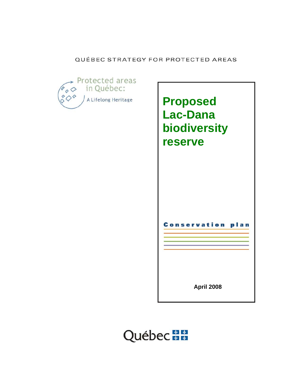## QUÉBEC STRATEGY FOR PROTECTED AREAS





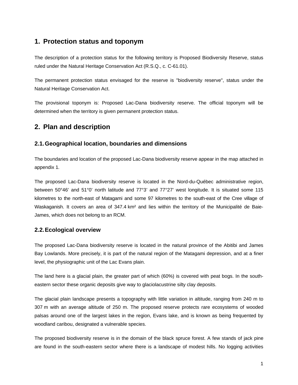## **1. Protection status and toponym**

The description of a protection status for the following territory is Proposed Biodiversity Reserve, status ruled under the Natural Heritage Conservation Act (R.S.Q., c. C-61.01).

The permanent protection status envisaged for the reserve is "biodiversity reserve", status under the Natural Heritage Conservation Act.

The provisional toponym is: Proposed Lac-Dana biodiversity reserve. The official toponym will be determined when the territory is given permanent protection status.

# **2. Plan and description**

## **2.1. Geographical location, boundaries and dimensions**

The boundaries and location of the proposed Lac-Dana biodiversity reserve appear in the map attached in appendix 1*.*

The proposed Lac-Dana biodiversity reserve is located in the Nord-du-Québec administrative region, between 50°46' and 51°0' north latitude and 77°3' and 77°27' west longitude. It is situated some 115 kilometres to the north-east of Matagami and some 97 kilometres to the south-east of the Cree village of Waskaganish. It covers an area of 347.4 km<sup>2</sup> and lies within the territory of the Municipalité de Baie-James, which does not belong to an RCM.

## **2.2. Ecological overview**

The proposed Lac-Dana biodiversity reserve is located in the natural province of the Abitibi and James Bay Lowlands. More precisely, it is part of the natural region of the Matagami depression, and at a finer level, the physiographic unit of the Lac Evans plain.

The land here is a glacial plain, the greater part of which (60%) is covered with peat bogs. In the southeastern sector these organic deposits give way to glaciolacustrine silty clay deposits.

The glacial plain landscape presents a topography with little variation in altitude, ranging from 240 m to 307 m with an average altitude of 250 m. The proposed reserve protects rare ecosystems of wooded palsas around one of the largest lakes in the region, Evans lake, and is known as being frequented by woodland caribou, designated a vulnerable species.

The proposed biodiversity reserve is in the domain of the black spruce forest. A few stands of jack pine are found in the south-eastern sector where there is a landscape of modest hills. No logging activities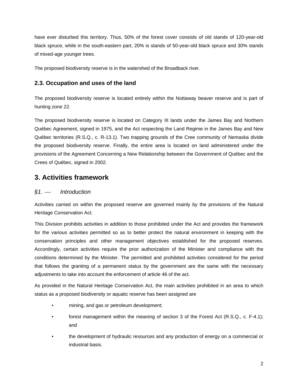have ever disturbed this territory. Thus, 50% of the forest cover consists of old stands of 120-year-old black spruce, while in the south-eastern part, 20% is stands of 50-year-old black spruce and 30% stands of mixed-age younger trees.

The proposed biodiversity reserve is in the watershed of the Broadback river.

## **2.3. Occupation and uses of the land**

The proposed biodiversity reserve is located entirely within the Nottaway beaver reserve and is part of hunting zone 22.

The proposed biodiversity reserve is located on Category III lands under the James Bay and Northern Québec Agreement, signed in 1975, and the Act respecting the Land Regime in the James Bay and New Québec territories (R.S.Q., c. R-13.1). Two trapping grounds of the Cree community of Nemaska divide the proposed biodiversity reserve. Finally, the entire area is located on land administered under the provisions of the Agreement Concerning a New Relationship between the Government of [Québec and the](http://www.autochtones.gouv.qc.ca/relations_autochtones/ententes/cris/20020207.htm)  [Crees of Québec,](http://www.autochtones.gouv.qc.ca/relations_autochtones/ententes/cris/20020207.htm) signed in 2002.

## **3. Activities framework**

## *§1.* ⎯ *Introduction*

Activities carried on within the proposed reserve are governed mainly by the provisions of the Natural Heritage Conservation Act.

This Division prohibits activities in addition to those prohibited under the Act and provides the framework for the various activities permitted so as to better protect the natural environment in keeping with the conservation principles and other management objectives established for the proposed reserves. Accordingly, certain activities require the prior authorization of the Minister and compliance with the conditions determined by the Minister. The permitted and prohibited activities considered for the period that follows the granting of a permanent status by the government are the same with the necessary adjustments to take into account the enforcement of article 46 of the act.

As provided in the Natural Heritage Conservation Act, the main activities prohibited in an area to which status as a proposed biodiversity or aquatic reserve has been assigned are

- mining, and gas or petroleum development;
- forest management within the meaning of section 3 of the Forest Act (R.S.Q., c. F-4.1); and
- the development of hydraulic resources and any production of energy on a commercial or industrial basis.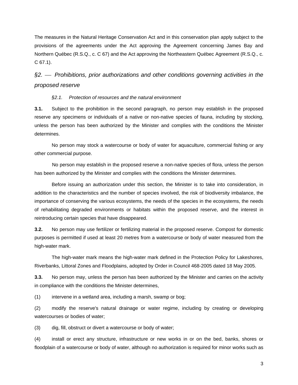The measures in the Natural Heritage Conservation Act and in this conservation plan apply subject to the provisions of the agreements under the Act approving the Agreement concerning James Bay and Northern Québec (R.S.Q., c. C 67) and the Act approving the Northeastern Québec Agreement (R.S.Q., c. C 67.1).

# *§2.* ⎯ *Prohibitions, prior authorizations and other conditions governing activities in the proposed reserve*

#### *§2.1. Protection of resources and the natural environment*

**3.1.** Subject to the prohibition in the second paragraph, no person may establish in the proposed reserve any specimens or individuals of a native or non-native species of fauna, including by stocking, unless the person has been authorized by the Minister and complies with the conditions the Minister determines.

No person may stock a watercourse or body of water for aquaculture, commercial fishing or any other commercial purpose.

 No person may establish in the proposed reserve a non-native species of flora, unless the person has been authorized by the Minister and complies with the conditions the Minister determines.

Before issuing an authorization under this section, the Minister is to take into consideration, in addition to the characteristics and the number of species involved, the risk of biodiversity imbalance, the importance of conserving the various ecosystems, the needs of the species in the ecosystems, the needs of rehabilitating degraded environments or habitats within the proposed reserve, and the interest in reintroducing certain species that have disappeared.

**3.2.** No person may use fertilizer or fertilizing material in the proposed reserve. Compost for domestic purposes is permitted if used at least 20 metres from a watercourse or body of water measured from the high-water mark.

The high-water mark means the high-water mark defined in the Protection Policy for Lakeshores, Riverbanks, Littoral Zones and Floodplains, adopted by Order in Council 468-2005 dated 18 May 2005.

**3.3.** No person may, unless the person has been authorized by the Minister and carries on the activity in compliance with the conditions the Minister determines,

(1) intervene in a wetland area, including a marsh, swamp or bog;

(2) modify the reserve's natural drainage or water regime, including by creating or developing watercourses or bodies of water;

(3) dig, fill, obstruct or divert a watercourse or body of water;

(4) install or erect any structure, infrastructure or new works in or on the bed, banks, shores or floodplain of a watercourse or body of water, although no authorization is required for minor works such as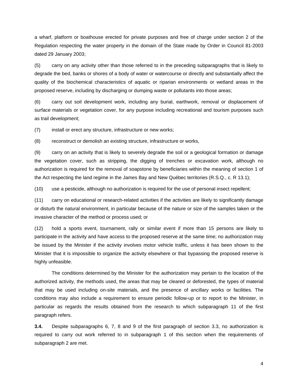a wharf, platform or boathouse erected for private purposes and free of charge under section 2 of the Regulation respecting the water property in the domain of the State made by Order in Council 81-2003 dated 29 January 2003;

(5) carry on any activity other than those referred to in the preceding subparagraphs that is likely to degrade the bed, banks or shores of a body of water or watercourse or directly and substantially affect the quality of the biochemical characteristics of aquatic or riparian environments or wetland areas in the proposed reserve, including by discharging or dumping waste or pollutants into those areas;

(6) carry out soil development work, including any burial, earthwork, removal or displacement of surface materials or vegetation cover, for any purpose including recreational and tourism purposes such as trail development;

(7) install or erect any structure, infrastructure or new works;

(8) reconstruct or demolish an existing structure, infrastructure or works,

(9) carry on an activity that is likely to severely degrade the soil or a geological formation or damage the vegetation cover, such as stripping, the digging of trenches or excavation work, although no authorization is required for the removal of soapstone by beneficiaries within the meaning of section 1 of the Act respecting the land regime in the James Bay and New Québec territories (R.S.Q., c. R 13.1);

(10) use a pesticide, although no authorization is required for the use of personal insect repellent;

(11) carry on educational or research-related activities if the activities are likely to significantly damage or disturb the natural environment, in particular because of the nature or size of the samples taken or the invasive character of the method or process used; or

(12) hold a sports event, tournament, rally or similar event if more than 15 persons are likely to participate in the activity and have access to the proposed reserve at the same time; no authorization may be issued by the Minister if the activity involves motor vehicle traffic, unless it has been shown to the Minister that it is impossible to organize the activity elsewhere or that bypassing the proposed reserve is highly unfeasible.

The conditions determined by the Minister for the authorization may pertain to the location of the authorized activity, the methods used, the areas that may be cleared or deforested, the types of material that may be used including on-site materials, and the presence of ancillary works or facilities. The conditions may also include a requirement to ensure periodic follow-up or to report to the Minister, in particular as regards the results obtained from the research to which subparagraph 11 of the first paragraph refers.

**3.4.** Despite subparagraphs 6, 7, 8 and 9 of the first paragraph of section 3.3, no authorization is required to carry out work referred to in subparagraph 1 of this section when the requirements of subparagraph 2 are met.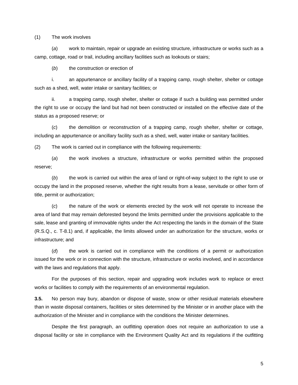#### (1) The work involves

(*a*) work to maintain, repair or upgrade an existing structure, infrastructure or works such as a camp, cottage, road or trail, including ancillary facilities such as lookouts or stairs;

(*b*) the construction or erection of

i. an appurtenance or ancillary facility of a trapping camp, rough shelter, shelter or cottage such as a shed, well, water intake or sanitary facilities; or

ii. a trapping camp, rough shelter, shelter or cottage if such a building was permitted under the right to use or occupy the land but had not been constructed or installed on the effective date of the status as a proposed reserve; or

(*c*) the demolition or reconstruction of a trapping camp, rough shelter, shelter or cottage, including an appurtenance or ancillary facility such as a shed, well, water intake or sanitary facilities.

(2) The work is carried out in compliance with the following requirements:

(*a*) the work involves a structure, infrastructure or works permitted within the proposed reserve;

(*b*) the work is carried out within the area of land or right-of-way subject to the right to use or occupy the land in the proposed reserve, whether the right results from a lease, servitude or other form of title, permit or authorization;

(*c*) the nature of the work or elements erected by the work will not operate to increase the area of land that may remain deforested beyond the limits permitted under the provisions applicable to the sale, lease and granting of immovable rights under the Act respecting the lands in the domain of the State (R.S.Q., c. T-8.1) and, if applicable, the limits allowed under an authorization for the structure, works or infrastructure; and

(*d*) the work is carried out in compliance with the conditions of a permit or authorization issued for the work or in connection with the structure, infrastructure or works involved, and in accordance with the laws and regulations that apply.

For the purposes of this section, repair and upgrading work includes work to replace or erect works or facilities to comply with the requirements of an environmental regulation.

**3.5.** No person may bury, abandon or dispose of waste, snow or other residual materials elsewhere than in waste disposal containers, facilities or sites determined by the Minister or in another place with the authorization of the Minister and in compliance with the conditions the Minister determines.

Despite the first paragraph, an outfitting operation does not require an authorization to use a disposal facility or site in compliance with the Environment Quality Act and its regulations if the outfitting

5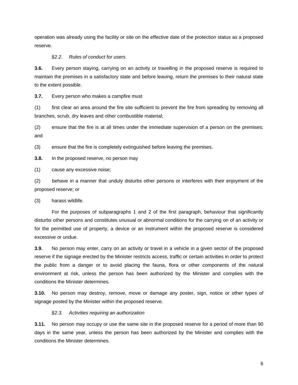operation was already using the facility or site on the effective date of the protection status as a proposed reserve.

#### *§2.2. Rules of conduct for users*

**3.6.** Every person staying, carrying on an activity or travelling in the proposed reserve is required to maintain the premises in a satisfactory state and before leaving, return the premises to their natural state to the extent possible.

**3.7.** Every person who makes a campfire must

(1) first clear an area around the fire site sufficient to prevent the fire from spreading by removing all branches, scrub, dry leaves and other combustible material;

(2) ensure that the fire is at all times under the immediate supervision of a person on the premises; and

(3) ensure that the fire is completely extinguished before leaving the premises.

**3.8.** In the proposed reserve, no person may

(1) cause any excessive noise;

(2) behave in a manner that unduly disturbs other persons or interferes with their enjoyment of the proposed reserve; or

(3) harass wildlife.

For the purposes of subparagraphs 1 and 2 of the first paragraph, behaviour that significantly disturbs other persons and constitutes unusual or abnormal conditions for the carrying on of an activity or for the permitted use of property, a device or an instrument within the proposed reserve is considered excessive or undue.

**3.9.** No person may enter, carry on an activity or travel in a vehicle in a given sector of the proposed reserve if the signage erected by the Minister restricts access, traffic or certain activities in order to protect the public from a danger or to avoid placing the fauna, flora or other components of the natural environment at risk, unless the person has been authorized by the Minister and complies with the conditions the Minister determines.

**3.10.** No person may destroy, remove, move or damage any poster, sign, notice or other types of signage posted by the Minister within the proposed reserve.

#### *§2.3. Activities requiring an authorization*

**3.11.** No person may occupy or use the same site in the proposed reserve for a period of more than 90 days in the same year, unless the person has been authorized by the Minister and complies with the conditions the Minister determines.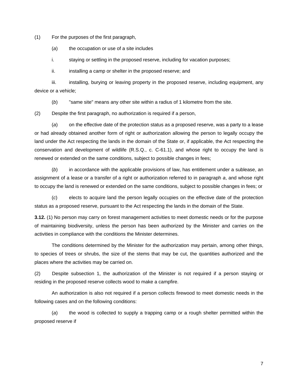(1) For the purposes of the first paragraph,

(*a*) the occupation or use of a site includes

i. staying or settling in the proposed reserve, including for vacation purposes;

ii. installing a camp or shelter in the proposed reserve; and

iii. installing, burying or leaving property in the proposed reserve, including equipment, any device or a vehicle;

(*b*) "same site" means any other site within a radius of 1 kilometre from the site.

(2) Despite the first paragraph, no authorization is required if a person,

(*a*) on the effective date of the protection status as a proposed reserve, was a party to a lease or had already obtained another form of right or authorization allowing the person to legally occupy the land under the Act respecting the lands in the domain of the State or, if applicable, the Act respecting the conservation and development of wildlife (R.S.Q., c. C-61.1), and whose right to occupy the land is renewed or extended on the same conditions, subject to possible changes in fees;

(*b*) in accordance with the applicable provisions of law, has entitlement under a sublease, an assignment of a lease or a transfer of a right or authorization referred to in paragraph *a*, and whose right to occupy the land is renewed or extended on the same conditions, subject to possible changes in fees; or

(*c*) elects to acquire land the person legally occupies on the effective date of the protection status as a proposed reserve, pursuant to the Act respecting the lands in the domain of the State.

**3.12.** (1) No person may carry on forest management activities to meet domestic needs or for the purpose of maintaining biodiversity, unless the person has been authorized by the Minister and carries on the activities in compliance with the conditions the Minister determines.

The conditions determined by the Minister for the authorization may pertain, among other things, to species of trees or shrubs, the size of the stems that may be cut, the quantities authorized and the places where the activities may be carried on.

(2) Despite subsection 1, the authorization of the Minister is not required if a person staying or residing in the proposed reserve collects wood to make a campfire.

 An authorization is also not required if a person collects firewood to meet domestic needs in the following cases and on the following conditions:

(*a*) the wood is collected to supply a trapping camp or a rough shelter permitted within the proposed reserve if

7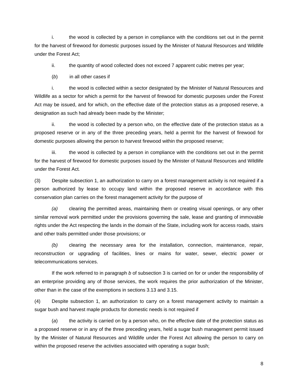i. the wood is collected by a person in compliance with the conditions set out in the permit for the harvest of firewood for domestic purposes issued by the Minister of Natural Resources and Wildlife under the Forest Act;

ii. the quantity of wood collected does not exceed 7 apparent cubic metres per year;

(*b*) in all other cases if

i. the wood is collected within a sector designated by the Minister of Natural Resources and Wildlife as a sector for which a permit for the harvest of firewood for domestic purposes under the Forest Act may be issued, and for which, on the effective date of the protection status as a proposed reserve, a designation as such had already been made by the Minister;

 ii. the wood is collected by a person who, on the effective date of the protection status as a proposed reserve or in any of the three preceding years, held a permit for the harvest of firewood for domestic purposes allowing the person to harvest firewood within the proposed reserve;

 iii. the wood is collected by a person in compliance with the conditions set out in the permit for the harvest of firewood for domestic purposes issued by the Minister of Natural Resources and Wildlife under the Forest Act*.* 

(3) Despite subsection 1, an authorization to carry on a forest management activity is not required if a person authorized by lease to occupy land within the proposed reserve in accordance with this conservation plan carries on the forest management activity for the purpose of

*(a)* clearing the permitted areas, maintaining them or creating visual openings, or any other similar removal work permitted under the provisions governing the sale, lease and granting of immovable rights under the Act respecting the lands in the domain of the State, including work for access roads, stairs and other trails permitted under those provisions; or

*(b)* clearing the necessary area for the installation, connection, maintenance, repair, reconstruction or upgrading of facilities, lines or mains for water, sewer, electric power or telecommunications services.

If the work referred to in paragraph *b* of subsection 3 is carried on for or under the responsibility of an enterprise providing any of those services, the work requires the prior authorization of the Minister, other than in the case of the exemptions in sections 3.13 and 3.15.

(4) Despite subsection 1, an authorization to carry on a forest management activity to maintain a sugar bush and harvest maple products for domestic needs is not required if

(*a*) the activity is carried on by a person who, on the effective date of the protection status as a proposed reserve or in any of the three preceding years, held a sugar bush management permit issued by the Minister of Natural Resources and Wildlife under the Forest Act allowing the person to carry on within the proposed reserve the activities associated with operating a sugar bush;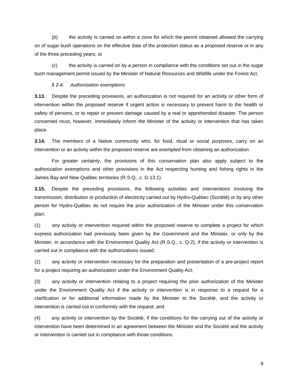(*b*) the activity is carried on within a zone for which the permit obtained allowed the carrying on of sugar bush operations on the effective date of the protection status as a proposed reserve or in any of the three preceding years; or

(*c*) the activity is carried on by a person in compliance with the conditions set out in the sugar bush management permit issued by the Minister of Natural Resources and Wildlife under the Forest Act.

#### *§ 2.4. Authorization exemptions*

**3.13.** Despite the preceding provisions, an authorization is not required for an activity or other form of intervention within the proposed reserve if urgent action is necessary to prevent harm to the health or safety of persons, or to repair or prevent damage caused by a real or apprehended disaster. The person concerned must, however, immediately inform the Minister of the activity or intervention that has taken place.

**3.14.** The members of a Native community who, for food, ritual or social purposes, carry on an intervention or an activity within the proposed reserve are exempted from obtaining an authorization.

For greater certainty, the provisions of this conservation plan also apply subject to the authorization exemptions and other provisions in the Act respecting hunting and fishing rights in the James Bay and New Québec territories (R.S.Q., c. D-13.1).

**3.15.** Despite the preceding provisions, the following activities and interventions involving the transmission, distribution or production of electricity carried out by Hydro-Québec (Société) or by any other person for Hydro-Québec do not require the prior authorization of the Minister under this conservation plan:

(1) any activity or intervention required within the proposed reserve to complete a project for which express authorization had previously been given by the Government and the Minister, or only by the Minister, in accordance with the Environment Quality Act (R.S.Q., c. Q-2), if the activity or intervention is carried out in compliance with the authorizations issued;

(2) any activity or intervention necessary for the preparation and presentation of a pre-project report for a project requiring an authorization under the Environment Quality Act;

(3) any activity or intervention relating to a project requiring the prior authorization of the Minister under the Environment Quality Act if the activity or intervention is in response to a request for a clarification or for additional information made by the Minister to the Société, and the activity or intervention is carried out in conformity with the request; and

(4) any activity or intervention by the Société, if the conditions for the carrying out of the activity or intervention have been determined in an agreement between the Minister and the Société and the activity or intervention is carried out in compliance with those conditions.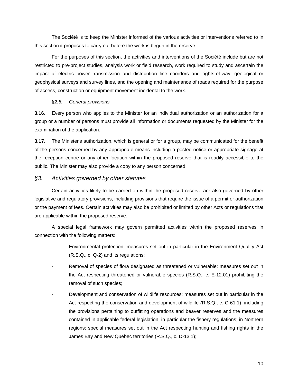The Société is to keep the Minister informed of the various activities or interventions referred to in this section it proposes to carry out before the work is begun in the reserve.

For the purposes of this section, the activities and interventions of the Société include but are not restricted to pre-project studies, analysis work or field research, work required to study and ascertain the impact of electric power transmission and distribution line corridors and rights-of-way, geological or geophysical surveys and survey lines, and the opening and maintenance of roads required for the purpose of access, construction or equipment movement incidental to the work.

### *§2.5. General provisions*

**3.16.** Every person who applies to the Minister for an individual authorization or an authorization for a group or a number of persons must provide all information or documents requested by the Minister for the examination of the application.

**3.17.** The Minister's authorization, which is general or for a group, may be communicated for the benefit of the persons concerned by any appropriate means including a posted notice or appropriate signage at the reception centre or any other location within the proposed reserve that is readily accessible to the public. The Minister may also provide a copy to any person concerned.

### *§3. Activities governed by other statutes*

Certain activities likely to be carried on within the proposed reserve are also governed by other legislative and regulatory provisions, including provisions that require the issue of a permit or authorization or the payment of fees. Certain activities may also be prohibited or limited by other Acts or regulations that are applicable within the proposed reserve.

A special legal framework may govern permitted activities within the proposed reserves in connection with the following matters:

- Environmental protection: measures set out in particular in the Environment Quality Act (R.S.Q., c. Q-2) and its regulations;
- *-* Removal of species of flora designated as threatened or vulnerable: measures set out in the Act respecting threatened or vulnerable species (R.S.Q., c. E-12.01) prohibiting the removal of such species;
- *-* Development and conservation of wildlife resources: measures set out in particular in the Act respecting the conservation and development of wildlife *(*R.S.Q., c. C-61.1), including the provisions pertaining to outfitting operations and beaver reserves and the measures contained in applicable federal legislation, in particular the fishery regulations; in Northern regions: special measures set out in the Act respecting hunting and fishing rights in the James Bay and New Québec territories (R.S.Q., c. D-13.1);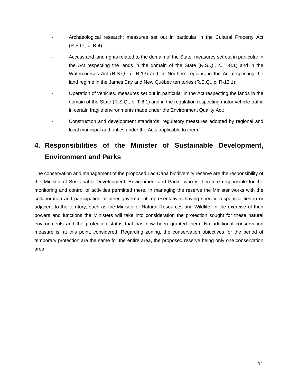- Archaeological research: measures set out in particular in the Cultural Property Act (R.S.Q., c. B-4);
- *-* Access and land rights related to the domain of the State: measures set out in particular in the Act respecting the lands in the domain of the State (R.S.Q., c. T-8.1) and in the Watercourses Act (R.S.Q., c. R-13) and, in Northern regions, in the Act respecting the land regime in the James Bay and New Québec territories (R.S.Q., c. R-13.1);
- Operation of vehicles*:* measures set out in particular in the Act respecting the lands in the domain of the State (R.S.Q., c. T-8.1) and in the regulation respecting motor vehicle traffic in certain fragile environments made under the Environment Quality Act;
- Construction and development standards: regulatory measures adopted by regional and local municipal authorities under the Acts applicable to them.

# **4. Responsibilities of the Minister of Sustainable Development, Environment and Parks**

The conservation and management of the proposed Lac-Dana biodiversity reserve are the responsibility of the Minister of Sustainable Development, Environment and Parks, who is therefore responsible for the monitoring and control of activities permitted there. In managing the reserve the Minister works with the collaboration and participation of other government representatives having specific responsibilities in or adjacent to the territory, such as the Minister of Natural Resources and Wildlife. In the exercise of their powers and functions the Ministers will take into consideration the protection sought for these natural environments and the protection status that has now been granted them. No additional conservation measure is, at this point, considered. Regarding zoning, the conservation objectives for the period of temporary protection are the same for the entire area, the proposed reserve being only one conservation area.